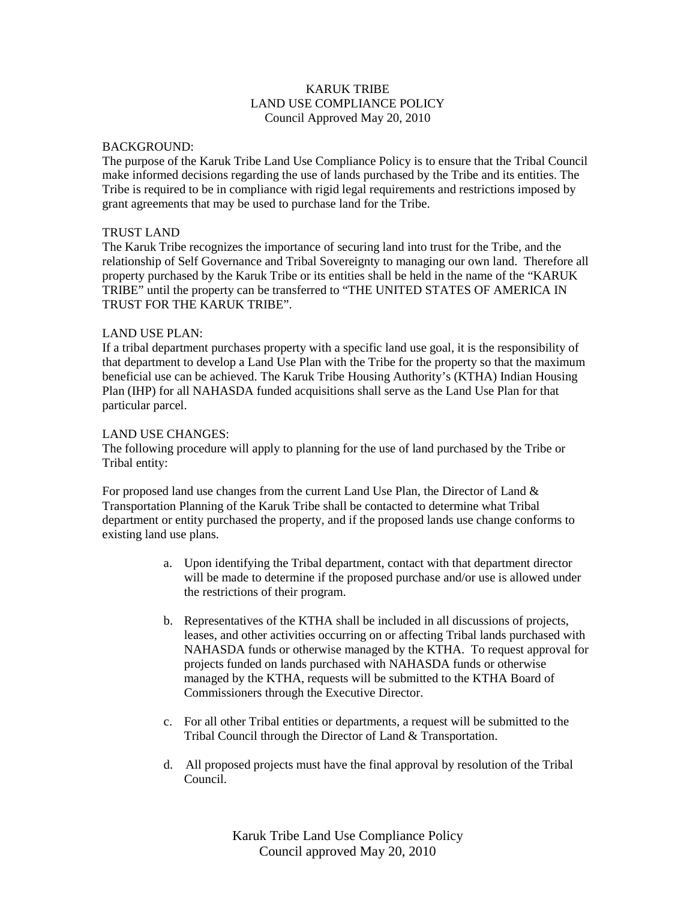# KARUK TRIBE LAND USE COMPLIANCE POLICY Council Approved May 20, 2010

#### BACKGROUND:

The purpose of the Karuk Tribe Land Use Compliance Policy is to ensure that the Tribal Council make informed decisions regarding the use of lands purchased by the Tribe and its entities. The Tribe is required to be in compliance with rigid legal requirements and restrictions imposed by grant agreements that may be used to purchase land for the Tribe.

## TRUST LAND

The Karuk Tribe recognizes the importance of securing land into trust for the Tribe, and the relationship of Self Governance and Tribal Sovereignty to managing our own land. Therefore all property purchased by the Karuk Tribe or its entities shall be held in the name of the "KARUK TRIBE" until the property can be transferred to "THE UNITED STATES OF AMERICA IN TRUST FOR THE KARUK TRIBE".

### LAND USE PLAN:

If a tribal department purchases property with a specific land use goal, it is the responsibility of that department to develop a Land Use Plan with the Tribe for the property so that the maximum beneficial use can be achieved. The Karuk Tribe Housing Authority's (KTHA) Indian Housing Plan (IHP) for all NAHASDA funded acquisitions shall serve as the Land Use Plan for that particular parcel.

### LAND USE CHANGES:

The following procedure will apply to planning for the use of land purchased by the Tribe or Tribal entity:

For proposed land use changes from the current Land Use Plan, the Director of Land  $\&$ Transportation Planning of the Karuk Tribe shall be contacted to determine what Tribal department or entity purchased the property, and if the proposed lands use change conforms to existing land use plans.

- a. Upon identifying the Tribal department, contact with that department director will be made to determine if the proposed purchase and/or use is allowed under the restrictions of their program.
- b. Representatives of the KTHA shall be included in all discussions of projects, leases, and other activities occurring on or affecting Tribal lands purchased with NAHASDA funds or otherwise managed by the KTHA. To request approval for projects funded on lands purchased with NAHASDA funds or otherwise managed by the KTHA, requests will be submitted to the KTHA Board of Commissioners through the Executive Director.
- c. For all other Tribal entities or departments, a request will be submitted to the Tribal Council through the Director of Land & Transportation.
- d. All proposed projects must have the final approval by resolution of the Tribal Council.

Karuk Tribe Land Use Compliance Policy Council approved May 20, 2010